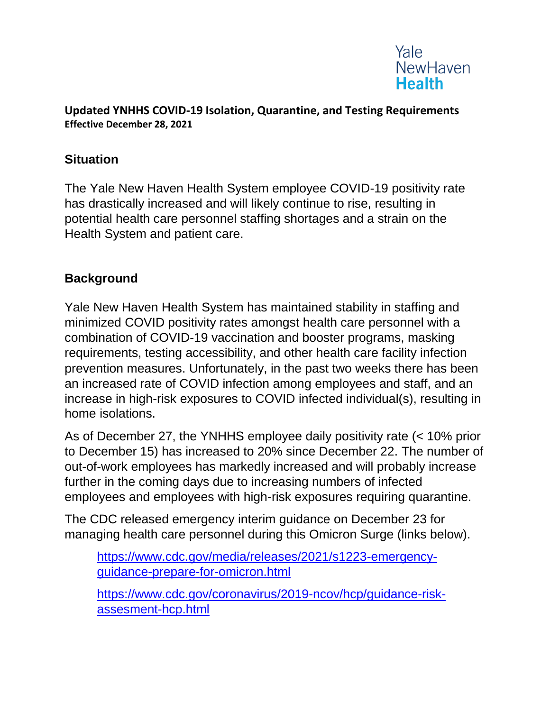

#### **Updated YNHHS COVID-19 Isolation, Quarantine, and Testing Requirements Effective December 28, 2021**

#### **Situation**

The Yale New Haven Health System employee COVID-19 positivity rate has drastically increased and will likely continue to rise, resulting in potential health care personnel staffing shortages and a strain on the Health System and patient care.

### **Background**

Yale New Haven Health System has maintained stability in staffing and minimized COVID positivity rates amongst health care personnel with a combination of COVID-19 vaccination and booster programs, masking requirements, testing accessibility, and other health care facility infection prevention measures. Unfortunately, in the past two weeks there has been an increased rate of COVID infection among employees and staff, and an increase in high-risk exposures to COVID infected individual(s), resulting in home isolations.

As of December 27, the YNHHS employee daily positivity rate (< 10% prior to December 15) has increased to 20% since December 22. The number of out-of-work employees has markedly increased and will probably increase further in the coming days due to increasing numbers of infected employees and employees with high-risk exposures requiring quarantine.

The CDC released emergency interim guidance on December 23 for managing health care personnel during this Omicron Surge (links below).

[https://www.cdc.gov/media/releases/2021/s1223-emergency](https://www.cdc.gov/media/releases/2021/s1223-emergency-guidance-prepare-for-omicron.html)[guidance-prepare-for-omicron.html](https://www.cdc.gov/media/releases/2021/s1223-emergency-guidance-prepare-for-omicron.html)

[https://www.cdc.gov/coronavirus/2019-ncov/hcp/guidance-risk](https://www.cdc.gov/coronavirus/2019-ncov/hcp/guidance-risk-assesment-hcp.html)[assesment-hcp.html](https://www.cdc.gov/coronavirus/2019-ncov/hcp/guidance-risk-assesment-hcp.html)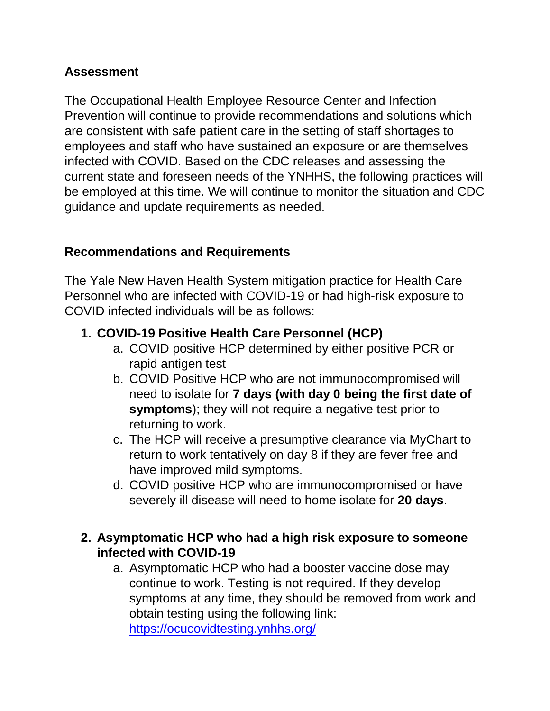### **Assessment**

The Occupational Health Employee Resource Center and Infection Prevention will continue to provide recommendations and solutions which are consistent with safe patient care in the setting of staff shortages to employees and staff who have sustained an exposure or are themselves infected with COVID. Based on the CDC releases and assessing the current state and foreseen needs of the YNHHS, the following practices will be employed at this time. We will continue to monitor the situation and CDC guidance and update requirements as needed.

# **Recommendations and Requirements**

The Yale New Haven Health System mitigation practice for Health Care Personnel who are infected with COVID-19 or had high-risk exposure to COVID infected individuals will be as follows:

### **1. COVID-19 Positive Health Care Personnel (HCP)**

- a. COVID positive HCP determined by either positive PCR or rapid antigen test
- b. COVID Positive HCP who are not immunocompromised will need to isolate for **7 days (with day 0 being the first date of symptoms**); they will not require a negative test prior to returning to work.
- c. The HCP will receive a presumptive clearance via MyChart to return to work tentatively on day 8 if they are fever free and have improved mild symptoms.
- d. COVID positive HCP who are immunocompromised or have severely ill disease will need to home isolate for **20 days**.

## **2. Asymptomatic HCP who had a high risk exposure to someone infected with COVID-19**

a. Asymptomatic HCP who had a booster vaccine dose may continue to work. Testing is not required. If they develop symptoms at any time, they should be removed from work and obtain testing using the following link: <https://ocucovidtesting.ynhhs.org/>